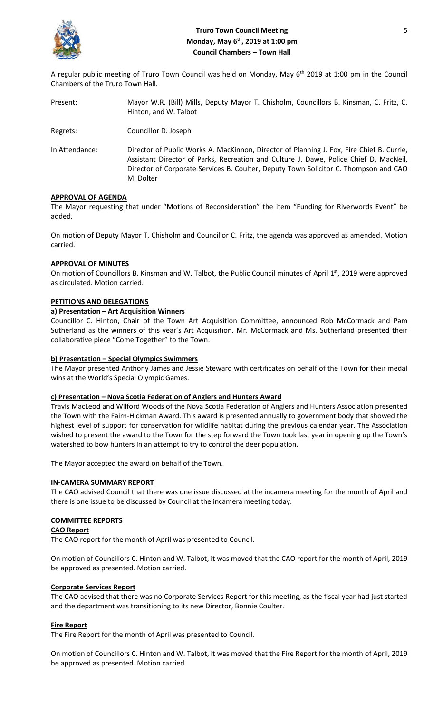

# **Truro Town Council Meeting** 5 **Monday, May 6th, 2019 at 1:00 pm Council Chambers – Town Hall**

A regular public meeting of Truro Town Council was held on Monday, May 6<sup>th</sup> 2019 at 1:00 pm in the Council Chambers of the Truro Town Hall.

| Present:       | Mayor W.R. (Bill) Mills, Deputy Mayor T. Chisholm, Councillors B. Kinsman, C. Fritz, C.<br>Hinton, and W. Talbot                                                                                                                                                                        |
|----------------|-----------------------------------------------------------------------------------------------------------------------------------------------------------------------------------------------------------------------------------------------------------------------------------------|
| Regrets:       | Councillor D. Joseph                                                                                                                                                                                                                                                                    |
| In Attendance: | Director of Public Works A. MacKinnon, Director of Planning J. Fox, Fire Chief B. Currie,<br>Assistant Director of Parks, Recreation and Culture J. Dawe, Police Chief D. MacNeil,<br>Director of Corporate Services B. Coulter, Deputy Town Solicitor C. Thompson and CAO<br>M. Dolter |

# **APPROVAL OF AGENDA**

The Mayor requesting that under "Motions of Reconsideration" the item "Funding for Riverwords Event" be added.

On motion of Deputy Mayor T. Chisholm and Councillor C. Fritz, the agenda was approved as amended. Motion carried.

## **APPROVAL OF MINUTES**

On motion of Councillors B. Kinsman and W. Talbot, the Public Council minutes of April 1st, 2019 were approved as circulated. Motion carried.

## **PETITIONS AND DELEGATIONS**

## **a) Presentation – Art Acquisition Winners**

Councillor C. Hinton, Chair of the Town Art Acquisition Committee, announced Rob McCormack and Pam Sutherland as the winners of this year's Art Acquisition. Mr. McCormack and Ms. Sutherland presented their collaborative piece "Come Together" to the Town.

# **b) Presentation – Special Olympics Swimmers**

The Mayor presented Anthony James and Jessie Steward with certificates on behalf of the Town for their medal wins at the World's Special Olympic Games.

#### **c) Presentation – Nova Scotia Federation of Anglers and Hunters Award**

Travis MacLeod and Wilford Woods of the Nova Scotia Federation of Anglers and Hunters Association presented the Town with the Fairn-Hickman Award. This award is presented annually to government body that showed the highest level of support for conservation for wildlife habitat during the previous calendar year. The Association wished to present the award to the Town for the step forward the Town took last year in opening up the Town's watershed to bow hunters in an attempt to try to control the deer population.

The Mayor accepted the award on behalf of the Town.

#### **IN-CAMERA SUMMARY REPORT**

The CAO advised Council that there was one issue discussed at the incamera meeting for the month of April and there is one issue to be discussed by Council at the incamera meeting today.

### **COMMITTEE REPORTS**

### **CAO Report**

The CAO report for the month of April was presented to Council.

On motion of Councillors C. Hinton and W. Talbot, it was moved that the CAO report for the month of April, 2019 be approved as presented. Motion carried.

### **Corporate Services Report**

The CAO advised that there was no Corporate Services Report for this meeting, as the fiscal year had just started and the department was transitioning to its new Director, Bonnie Coulter.

#### **Fire Report**

The Fire Report for the month of April was presented to Council.

On motion of Councillors C. Hinton and W. Talbot, it was moved that the Fire Report for the month of April, 2019 be approved as presented. Motion carried.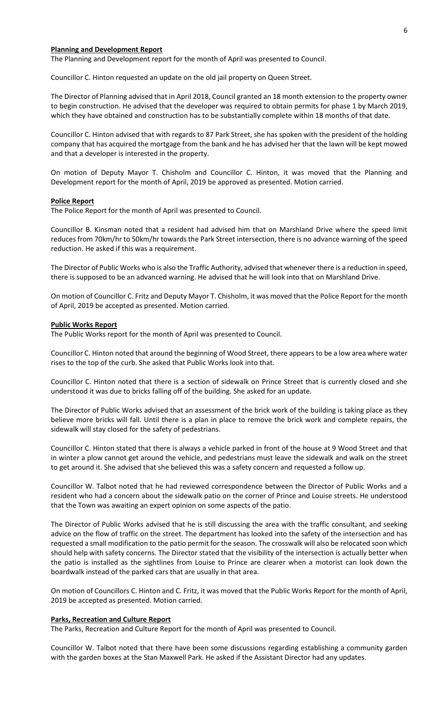#### **Planning and Development Report**

The Planning and Development report for the month of April was presented to Council.

Councillor C. Hinton requested an update on the old jail property on Queen Street.

The Director of Planning advised that in April 2018, Council granted an 18 month extension to the property owner to begin construction. He advised that the developer was required to obtain permits for phase 1 by March 2019, which they have obtained and construction has to be substantially complete within 18 months of that date.

Councillor C. Hinton advised that with regards to 87 Park Street, she has spoken with the president of the holding company that has acquired the mortgage from the bank and he has advised her that the lawn will be kept mowed and that a developer is interested in the property.

On motion of Deputy Mayor T. Chisholm and Councillor C. Hinton, it was moved that the Planning and Development report for the month of April, 2019 be approved as presented. Motion carried.

#### **Police Report**

The Police Report for the month of April was presented to Council.

Councillor B. Kinsman noted that a resident had advised him that on Marshland Drive where the speed limit reduces from 70km/hr to 50km/hr towards the Park Street intersection, there is no advance warning of the speed reduction. He asked if this was a requirement.

The Director of Public Works who is also the Traffic Authority, advised that whenever there is a reduction in speed, there is supposed to be an advanced warning. He advised that he will look into that on Marshland Drive.

On motion of Councillor C. Fritz and Deputy Mayor T. Chisholm, it was moved that the Police Report for the month of April, 2019 be accepted as presented. Motion carried.

#### **Public Works Report**

The Public Works report for the month of April was presented to Council.

Councillor C. Hinton noted that around the beginning of Wood Street, there appears to be a low area where water rises to the top of the curb. She asked that Public Works look into that.

Councillor C. Hinton noted that there is a section of sidewalk on Prince Street that is currently closed and she understood it was due to bricks falling off of the building. She asked for an update.

The Director of Public Works advised that an assessment of the brick work of the building is taking place as they believe more bricks will fall. Until there is a plan in place to remove the brick work and complete repairs, the sidewalk will stay closed for the safety of pedestrians.

Councillor C. Hinton stated that there is always a vehicle parked in front of the house at 9 Wood Street and that in winter a plow cannot get around the vehicle, and pedestrians must leave the sidewalk and walk on the street to get around it. She advised that she believed this was a safety concern and requested a follow up.

Councillor W. Talbot noted that he had reviewed correspondence between the Director of Public Works and a resident who had a concern about the sidewalk patio on the corner of Prince and Louise streets. He understood that the Town was awaiting an expert opinion on some aspects of the patio.

The Director of Public Works advised that he is still discussing the area with the traffic consultant, and seeking advice on the flow of traffic on the street. The department has looked into the safety of the intersection and has requested a small modification to the patio permit for the season. The crosswalk will also be relocated soon which should help with safety concerns. The Director stated that the visibility of the intersection is actually better when the patio is installed as the sightlines from Louise to Prince are clearer when a motorist can look down the boardwalk instead of the parked cars that are usually in that area.

On motion of Councillors C. Hinton and C. Fritz, it was moved that the Public Works Report for the month of April, 2019 be accepted as presented. Motion carried.

#### **Parks, Recreation and Culture Report**

The Parks, Recreation and Culture Report for the month of April was presented to Council.

Councillor W. Talbot noted that there have been some discussions regarding establishing a community garden with the garden boxes at the Stan Maxwell Park. He asked if the Assistant Director had any updates.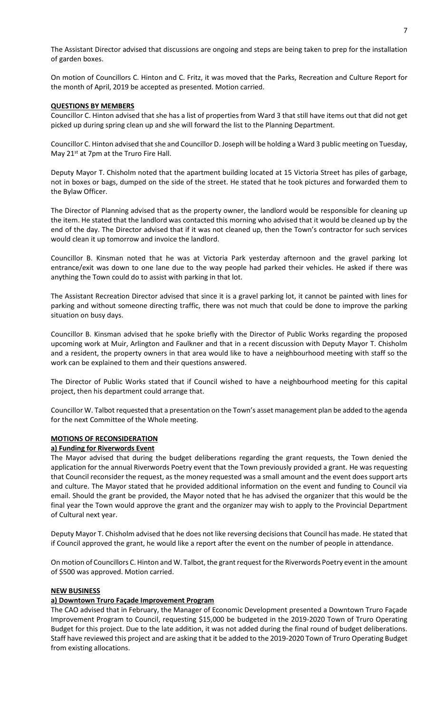The Assistant Director advised that discussions are ongoing and steps are being taken to prep for the installation of garden boxes.

On motion of Councillors C. Hinton and C. Fritz, it was moved that the Parks, Recreation and Culture Report for the month of April, 2019 be accepted as presented. Motion carried.

# **QUESTIONS BY MEMBERS**

Councillor C. Hinton advised that she has a list of properties from Ward 3 that still have items out that did not get picked up during spring clean up and she will forward the list to the Planning Department.

Councillor C. Hinton advised that she and Councillor D. Joseph will be holding a Ward 3 public meeting on Tuesday, May 21<sup>st</sup> at 7pm at the Truro Fire Hall.

Deputy Mayor T. Chisholm noted that the apartment building located at 15 Victoria Street has piles of garbage, not in boxes or bags, dumped on the side of the street. He stated that he took pictures and forwarded them to the Bylaw Officer.

The Director of Planning advised that as the property owner, the landlord would be responsible for cleaning up the item. He stated that the landlord was contacted this morning who advised that it would be cleaned up by the end of the day. The Director advised that if it was not cleaned up, then the Town's contractor for such services would clean it up tomorrow and invoice the landlord.

Councillor B. Kinsman noted that he was at Victoria Park yesterday afternoon and the gravel parking lot entrance/exit was down to one lane due to the way people had parked their vehicles. He asked if there was anything the Town could do to assist with parking in that lot.

The Assistant Recreation Director advised that since it is a gravel parking lot, it cannot be painted with lines for parking and without someone directing traffic, there was not much that could be done to improve the parking situation on busy days.

Councillor B. Kinsman advised that he spoke briefly with the Director of Public Works regarding the proposed upcoming work at Muir, Arlington and Faulkner and that in a recent discussion with Deputy Mayor T. Chisholm and a resident, the property owners in that area would like to have a neighbourhood meeting with staff so the work can be explained to them and their questions answered.

The Director of Public Works stated that if Council wished to have a neighbourhood meeting for this capital project, then his department could arrange that.

Councillor W. Talbot requested that a presentation on the Town's asset management plan be added to the agenda for the next Committee of the Whole meeting.

# **MOTIONS OF RECONSIDERATION**

# **a) Funding for Riverwords Event**

The Mayor advised that during the budget deliberations regarding the grant requests, the Town denied the application for the annual Riverwords Poetry event that the Town previously provided a grant. He was requesting that Council reconsider the request, as the money requested was a small amount and the event does support arts and culture. The Mayor stated that he provided additional information on the event and funding to Council via email. Should the grant be provided, the Mayor noted that he has advised the organizer that this would be the final year the Town would approve the grant and the organizer may wish to apply to the Provincial Department of Cultural next year.

Deputy Mayor T. Chisholm advised that he does not like reversing decisions that Council has made. He stated that if Council approved the grant, he would like a report after the event on the number of people in attendance.

On motion of Councillors C. Hinton and W. Talbot, the grant request for the Riverwords Poetry event in the amount of \$500 was approved. Motion carried.

#### **NEW BUSINESS**

# **a) Downtown Truro Façade Improvement Program**

The CAO advised that in February, the Manager of Economic Development presented a Downtown Truro Façade Improvement Program to Council, requesting \$15,000 be budgeted in the 2019-2020 Town of Truro Operating Budget for this project. Due to the late addition, it was not added during the final round of budget deliberations. Staff have reviewed this project and are asking that it be added to the 2019-2020 Town of Truro Operating Budget from existing allocations.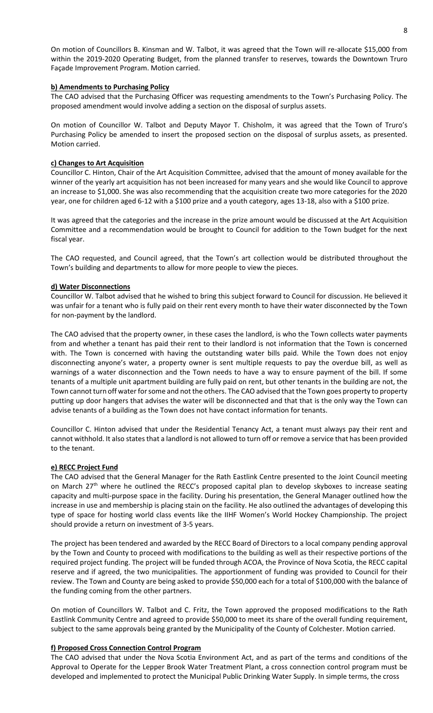On motion of Councillors B. Kinsman and W. Talbot, it was agreed that the Town will re-allocate \$15,000 from within the 2019-2020 Operating Budget, from the planned transfer to reserves, towards the Downtown Truro Façade Improvement Program. Motion carried.

# **b) Amendments to Purchasing Policy**

The CAO advised that the Purchasing Officer was requesting amendments to the Town's Purchasing Policy. The proposed amendment would involve adding a section on the disposal of surplus assets.

On motion of Councillor W. Talbot and Deputy Mayor T. Chisholm, it was agreed that the Town of Truro's Purchasing Policy be amended to insert the proposed section on the disposal of surplus assets, as presented. Motion carried.

### **c) Changes to Art Acquisition**

Councillor C. Hinton, Chair of the Art Acquisition Committee, advised that the amount of money available for the winner of the yearly art acquisition has not been increased for many years and she would like Council to approve an increase to \$1,000. She was also recommending that the acquisition create two more categories for the 2020 year, one for children aged 6-12 with a \$100 prize and a youth category, ages 13-18, also with a \$100 prize.

It was agreed that the categories and the increase in the prize amount would be discussed at the Art Acquisition Committee and a recommendation would be brought to Council for addition to the Town budget for the next fiscal year.

The CAO requested, and Council agreed, that the Town's art collection would be distributed throughout the Town's building and departments to allow for more people to view the pieces.

## **d) Water Disconnections**

Councillor W. Talbot advised that he wished to bring this subject forward to Council for discussion. He believed it was unfair for a tenant who is fully paid on their rent every month to have their water disconnected by the Town for non-payment by the landlord.

The CAO advised that the property owner, in these cases the landlord, is who the Town collects water payments from and whether a tenant has paid their rent to their landlord is not information that the Town is concerned with. The Town is concerned with having the outstanding water bills paid. While the Town does not enjoy disconnecting anyone's water, a property owner is sent multiple requests to pay the overdue bill, as well as warnings of a water disconnection and the Town needs to have a way to ensure payment of the bill. If some tenants of a multiple unit apartment building are fully paid on rent, but other tenants in the building are not, the Town cannot turn off water for some and not the others. The CAO advised that the Town goes property to property putting up door hangers that advises the water will be disconnected and that that is the only way the Town can advise tenants of a building as the Town does not have contact information for tenants.

Councillor C. Hinton advised that under the Residential Tenancy Act, a tenant must always pay their rent and cannot withhold. It also states that a landlord is not allowed to turn off or remove a service that has been provided to the tenant.

#### **e) RECC Project Fund**

The CAO advised that the General Manager for the Rath Eastlink Centre presented to the Joint Council meeting on March 27<sup>th</sup> where he outlined the RECC's proposed capital plan to develop skyboxes to increase seating capacity and multi-purpose space in the facility. During his presentation, the General Manager outlined how the increase in use and membership is placing stain on the facility. He also outlined the advantages of developing this type of space for hosting world class events like the IIHF Women's World Hockey Championship. The project should provide a return on investment of 3-5 years.

The project has been tendered and awarded by the RECC Board of Directors to a local company pending approval by the Town and County to proceed with modifications to the building as well as their respective portions of the required project funding. The project will be funded through ACOA, the Province of Nova Scotia, the RECC capital reserve and if agreed, the two municipalities. The apportionment of funding was provided to Council for their review. The Town and County are being asked to provide \$50,000 each for a total of \$100,000 with the balance of the funding coming from the other partners.

On motion of Councillors W. Talbot and C. Fritz, the Town approved the proposed modifications to the Rath Eastlink Community Centre and agreed to provide \$50,000 to meet its share of the overall funding requirement, subject to the same approvals being granted by the Municipality of the County of Colchester. Motion carried.

#### **f) Proposed Cross Connection Control Program**

The CAO advised that under the Nova Scotia Environment Act, and as part of the terms and conditions of the Approval to Operate for the Lepper Brook Water Treatment Plant, a cross connection control program must be developed and implemented to protect the Municipal Public Drinking Water Supply. In simple terms, the cross